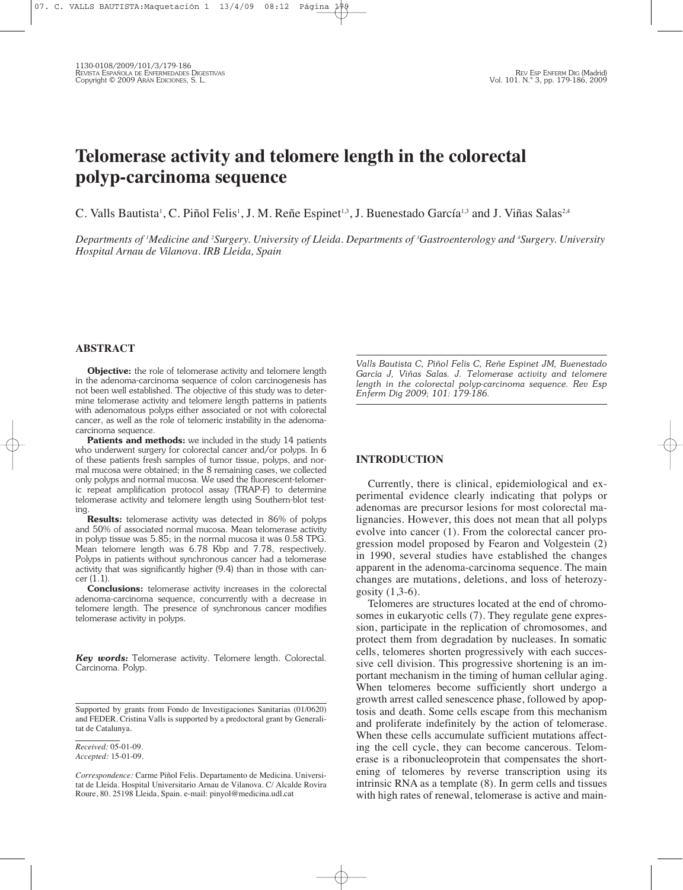# **Telomerase activity and telomere length in the colorectal polyp-carcinoma sequence**

C. Valls Bautista<sup>i</sup>, C. Piñol Felis<sup>1</sup>, J. M. Reñe Espinet<sup>13</sup>, J. Buenestado García<sup>13</sup> and J. Viñas Salas<sup>2,4</sup>

Departments of 'Medicine and <sup>2</sup>Surgery. University of Lleida. Departments of <sup>3</sup>Gastroenterology and <sup>4</sup>Surgery. University *Hospital Arnau de Vilanova. IRB Lleida, Spain*

## **ABSTRACT**

**Objective:** the role of telomerase activity and telomere length in the adenoma-carcinoma sequence of colon carcinogenesis has not been well established. The objective of this study was to determine telomerase activity and telomere length patterns in patients with adenomatous polyps either associated or not with colorectal cancer, as well as the role of telomeric instability in the adenomacarcinoma sequence.

**Patients and methods:** we included in the study 14 patients who underwent surgery for colorectal cancer and/or polyps. In 6 of these patients fresh samples of tumor tissue, polyps, and normal mucosa were obtained; in the 8 remaining cases, we collected only polyps and normal mucosa. We used the fluorescent-telomeric repeat amplification protocol assay (TRAP-F) to determine telomerase activity and telomere length using Southern-blot testing.

**Results:** telomerase activity was detected in 86% of polyps and 50% of associated normal mucosa. Mean telomerase activity in polyp tissue was 5.85; in the normal mucosa it was 0.58 TPG. Mean telomere length was 6.78 Kbp and 7.78, respectively. Polyps in patients without synchronous cancer had a telomerase activity that was significantly higher (9.4) than in those with cancer (1.1).

**Conclusions:** telomerase activity increases in the colorectal adenoma-carcinoma sequence, concurrently with a decrease in telomere length. The presence of synchronous cancer modifies telomerase activity in polyps.

*Key words:* Telomerase activity. Telomere length. Colorectal. Carcinoma. Polyp.

*Valls Bautista C, Piñol Felis C, Reñe Espinet JM, Buenestado García J, Viñas Salas. J. Telomerase activity and telomere length in the colorectal polyp-carcinoma sequence. Rev Esp Enferm Dig 2009; 101: 179-186.*

### **INTRODUCTION**

Currently, there is clinical, epidemiological and experimental evidence clearly indicating that polyps or adenomas are precursor lesions for most colorectal malignancies. However, this does not mean that all polyps evolve into cancer (1). From the colorectal cancer progression model proposed by Fearon and Volgestein (2) in 1990, several studies have established the changes apparent in the adenoma-carcinoma sequence. The main changes are mutations, deletions, and loss of heterozygosity (1,3-6).

Telomeres are structures located at the end of chromosomes in eukaryotic cells (7). They regulate gene expression, participate in the replication of chromosomes, and protect them from degradation by nucleases. In somatic cells, telomeres shorten progressively with each successive cell division. This progressive shortening is an important mechanism in the timing of human cellular aging. When telomeres become sufficiently short undergo a growth arrest called senescence phase, followed by apoptosis and death. Some cells escape from this mechanism and proliferate indefinitely by the action of telomerase. When these cells accumulate sufficient mutations affecting the cell cycle, they can become cancerous. Telomerase is a ribonucleoprotein that compensates the shortening of telomeres by reverse transcription using its intrinsic RNA as a template (8). In germ cells and tissues with high rates of renewal, telomerase is active and main-

Supported by grants from Fondo de Investigaciones Sanitarias (01/0620) and FEDER. Cristina Valls is supported by a predoctoral grant by Generalitat de Catalunya.

*Received:* 05-01-09. *Accepted:* 15-01-09.

*Correspondence:* Carme Piñol Felis. Departamento de Medicina. Universitat de Lleida. Hospital Universitario Arnau de Vilanova. C/ Alcalde Rovira Roure, 80. 25198 Lleida, Spain. e-mail: pinyol@medicina.udl.cat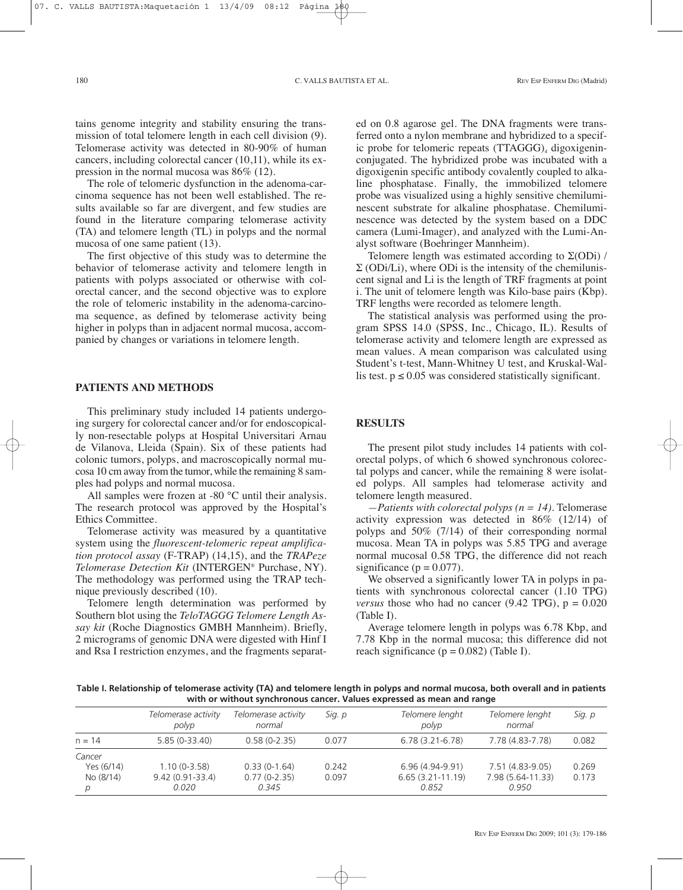tains genome integrity and stability ensuring the transmission of total telomere length in each cell division (9). Telomerase activity was detected in 80-90% of human cancers, including colorectal cancer (10,11), while its expression in the normal mucosa was 86% (12).

The role of telomeric dysfunction in the adenoma-carcinoma sequence has not been well established. The results available so far are divergent, and few studies are found in the literature comparing telomerase activity (TA) and telomere length (TL) in polyps and the normal mucosa of one same patient (13).

The first objective of this study was to determine the behavior of telomerase activity and telomere length in patients with polyps associated or otherwise with colorectal cancer, and the second objective was to explore the role of telomeric instability in the adenoma-carcinoma sequence, as defined by telomerase activity being higher in polyps than in adjacent normal mucosa, accompanied by changes or variations in telomere length.

#### **PATIENTS AND METHODS**

This preliminary study included 14 patients undergoing surgery for colorectal cancer and/or for endoscopically non-resectable polyps at Hospital Universitari Arnau de Vilanova, Lleida (Spain). Six of these patients had colonic tumors, polyps, and macroscopically normal mucosa 10 cm away from the tumor, while the remaining 8 samples had polyps and normal mucosa.

All samples were frozen at -80 °C until their analysis. The research protocol was approved by the Hospital's Ethics Committee.

Telomerase activity was measured by a quantitative system using the *fluorescent-telomeric repeat amplification protocol assay* (F-TRAP) (14,15), and the *TRAPeze Telomerase Detection Kit* (INTERGEN® Purchase, NY). The methodology was performed using the TRAP technique previously described (10).

Telomere length determination was performed by Southern blot using the *TeloTAGGG Telomere Length Assay kit* (Roche Diagnostics GMBH Mannheim). Briefly, 2 micrograms of genomic DNA were digested with Hinf I and Rsa I restriction enzymes, and the fragments separat-

ed on 0.8 agarose gel. The DNA fragments were transferred onto a nylon membrane and hybridized to a specific probe for telomeric repeats (TTAGGG), digoxigeninconjugated. The hybridized probe was incubated with a digoxigenin specific antibody covalently coupled to alkaline phosphatase. Finally, the immobilized telomere probe was visualized using a highly sensitive chemiluminescent substrate for alkaline phosphatase. Chemiluminescence was detected by the system based on a DDC camera (Lumi-Imager), and analyzed with the Lumi-Analyst software (Boehringer Mannheim).

Telomere length was estimated according to  $\Sigma$ (ODi) /  $\Sigma$  (ODi/Li), where ODi is the intensity of the chemiluniscent signal and Li is the length of TRF fragments at point i. The unit of telomere length was Kilo-base pairs (Kbp). TRF lengths were recorded as telomere length.

The statistical analysis was performed using the program SPSS 14.0 (SPSS, Inc., Chicago, IL). Results of telomerase activity and telomere length are expressed as mean values. A mean comparison was calculated using Student's t-test, Mann-Whitney U test, and Kruskal-Wallis test.  $p \le 0.05$  was considered statistically significant.

### **RESULTS**

The present pilot study includes 14 patients with colorectal polyps, of which 6 showed synchronous colorectal polyps and cancer, while the remaining 8 were isolated polyps. All samples had telomerase activity and telomere length measured.

*—Patients with colorectal polyps (n = 14).* Telomerase activity expression was detected in 86% (12/14) of polyps and 50% (7/14) of their corresponding normal mucosa. Mean TA in polyps was 5.85 TPG and average normal mucosal 0.58 TPG, the difference did not reach significance ( $p = 0.077$ ).

We observed a significantly lower TA in polyps in patients with synchronous colorectal cancer (1.10 TPG) *versus* those who had no cancer  $(9.42 \text{ TPG})$ ,  $p = 0.020$ (Table I).

Average telomere length in polyps was 6.78 Kbp, and 7.78 Kbp in the normal mucosa; this difference did not reach significance ( $p = 0.082$ ) (Table I).

Table I. Relationship of telomerase activity (TA) and telomere length in polyps and normal mucosa, both overall and in patients **with or without synchronous cancer. Values expressed as mean and range**

|                                        | Telomerase activity<br>polyp                   | Telomerase activity<br>normal             | Sig. p         | Telomere lenght<br>polyp                        | Telomere lenght<br>normal                      | Sig. p         |
|----------------------------------------|------------------------------------------------|-------------------------------------------|----------------|-------------------------------------------------|------------------------------------------------|----------------|
| $n = 14$                               | $5.85(0-33.40)$                                | $0.58(0-2.35)$                            | 0.077          | $6.78(3.21 - 6.78)$                             | 7.78 (4.83-7.78)                               | 0.082          |
| Cancer<br>Yes (6/14)<br>No (8/14)<br>p | $1.10(0-3.58)$<br>$9.42(0.91 - 33.4)$<br>0.020 | $0.33(0-1.64)$<br>$0.77(0-2.35)$<br>0.345 | 0.242<br>0.097 | 6.96 (4.94-9.91)<br>$6.65(3.21-11.19)$<br>0.852 | 7.51 (4.83-9.05)<br>7.98 (5.64-11.33)<br>0.950 | 0.269<br>0.173 |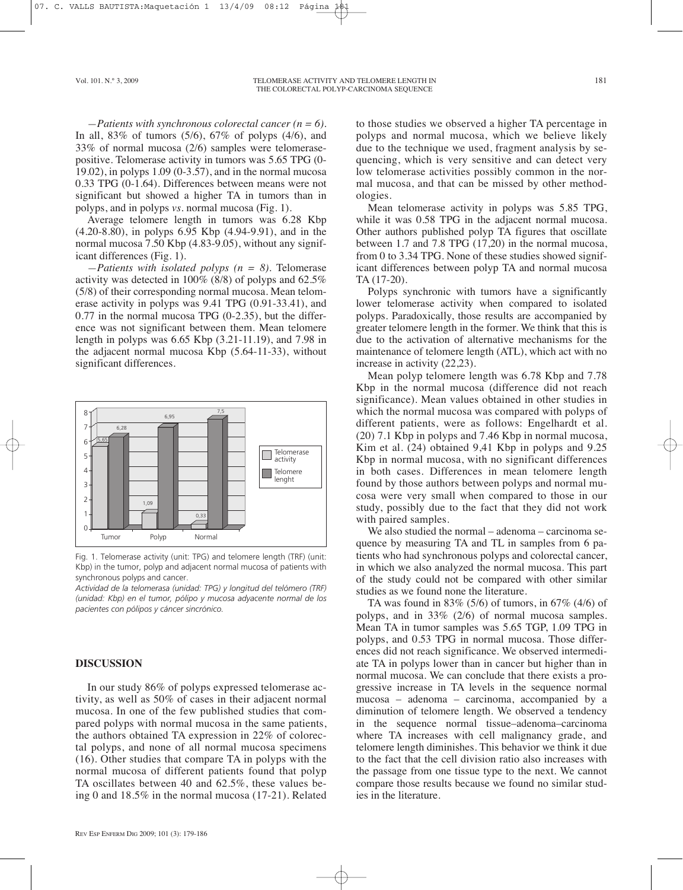*—Patients with synchronous colorectal cancer (n = 6).* In all,  $83\%$  of tumors  $(5/6)$ ,  $67\%$  of polyps  $(4/6)$ , and 33% of normal mucosa (2/6) samples were telomerasepositive. Telomerase activity in tumors was 5.65 TPG (0- 19.02), in polyps 1.09 (0-3.57), and in the normal mucosa 0.33 TPG (0-1.64). Differences between means were not significant but showed a higher TA in tumors than in polyps, and in polyps *vs.* normal mucosa (Fig. 1).

Average telomere length in tumors was 6.28 Kbp (4.20-8.80), in polyps 6.95 Kbp (4.94-9.91), and in the normal mucosa 7.50 Kbp (4.83-9.05), without any significant differences (Fig. 1).

*—Patients with isolated polyps (n = 8).* Telomerase activity was detected in 100% (8/8) of polyps and 62.5% (5/8) of their corresponding normal mucosa. Mean telomerase activity in polyps was 9.41 TPG (0.91-33.41), and 0.77 in the normal mucosa TPG (0-2.35), but the difference was not significant between them. Mean telomere length in polyps was 6.65 Kbp (3.21-11.19), and 7.98 in the adjacent normal mucosa Kbp (5.64-11-33), without significant differences.



Fig. 1. Telomerase activity (unit: TPG) and telomere length (TRF) (unit: Kbp) in the tumor, polyp and adjacent normal mucosa of patients with synchronous polyps and cancer.

*Actividad de la telomerasa (unidad: TPG) y longitud del telómero (TRF) (unidad: Kbp) en el tumor, pólipo y mucosa adyacente normal de los pacientes con pólipos y cáncer sincrónico.*

#### **DISCUSSION**

In our study 86% of polyps expressed telomerase activity, as well as 50% of cases in their adjacent normal mucosa. In one of the few published studies that compared polyps with normal mucosa in the same patients, the authors obtained TA expression in 22% of colorectal polyps, and none of all normal mucosa specimens (16). Other studies that compare TA in polyps with the normal mucosa of different patients found that polyp TA oscillates between 40 and 62.5%, these values being 0 and 18.5% in the normal mucosa (17-21). Related to those studies we observed a higher TA percentage in polyps and normal mucosa, which we believe likely due to the technique we used, fragment analysis by sequencing, which is very sensitive and can detect very low telomerase activities possibly common in the normal mucosa, and that can be missed by other methodologies.

Mean telomerase activity in polyps was 5.85 TPG, while it was 0.58 TPG in the adjacent normal mucosa. Other authors published polyp TA figures that oscillate between 1.7 and 7.8 TPG (17,20) in the normal mucosa, from 0 to 3.34 TPG. None of these studies showed significant differences between polyp TA and normal mucosa TA (17-20).

Polyps synchronic with tumors have a significantly lower telomerase activity when compared to isolated polyps. Paradoxically, those results are accompanied by greater telomere length in the former. We think that this is due to the activation of alternative mechanisms for the maintenance of telomere length (ATL), which act with no increase in activity (22,23).

Mean polyp telomere length was 6.78 Kbp and 7.78 Kbp in the normal mucosa (difference did not reach significance). Mean values obtained in other studies in which the normal mucosa was compared with polyps of different patients, were as follows: Engelhardt et al. (20) 7.1 Kbp in polyps and 7.46 Kbp in normal mucosa, Kim et al. (24) obtained 9,41 Kbp in polyps and 9.25 Kbp in normal mucosa, with no significant differences in both cases. Differences in mean telomere length found by those authors between polyps and normal mucosa were very small when compared to those in our study, possibly due to the fact that they did not work with paired samples.

We also studied the normal – adenoma – carcinoma sequence by measuring TA and TL in samples from 6 patients who had synchronous polyps and colorectal cancer, in which we also analyzed the normal mucosa. This part of the study could not be compared with other similar studies as we found none the literature.

TA was found in 83% (5/6) of tumors, in 67% (4/6) of polyps, and in 33% (2/6) of normal mucosa samples. Mean TA in tumor samples was 5.65 TGP, 1.09 TPG in polyps, and 0.53 TPG in normal mucosa. Those differences did not reach significance. We observed intermediate TA in polyps lower than in cancer but higher than in normal mucosa. We can conclude that there exists a progressive increase in TA levels in the sequence normal mucosa – adenoma – carcinoma, accompanied by a diminution of telomere length. We observed a tendency in the sequence normal tissue–adenoma–carcinoma where TA increases with cell malignancy grade, and telomere length diminishes. This behavior we think it due to the fact that the cell division ratio also increases with the passage from one tissue type to the next. We cannot compare those results because we found no similar studies in the literature.